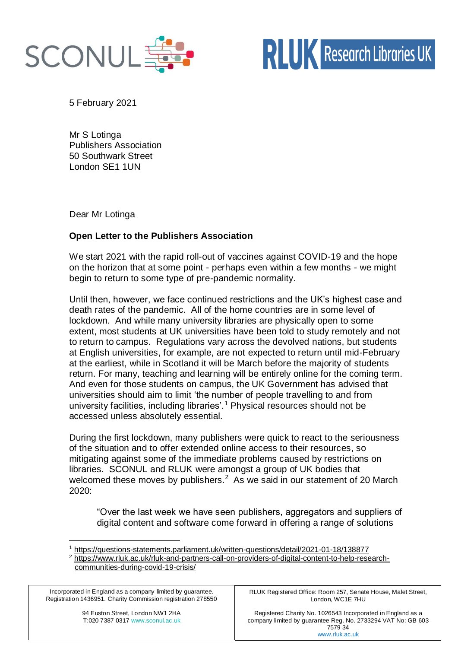

5 February 2021

Mr S Lotinga Publishers Association 50 Southwark Street London SE1 1UN

Dear Mr Lotinga

## **Open Letter to the Publishers Association**

We start 2021 with the rapid roll-out of vaccines against COVID-19 and the hope on the horizon that at some point - perhaps even within a few months - we might begin to return to some type of pre-pandemic normality.

Until then, however, we face continued restrictions and the UK's highest case and death rates of the pandemic. All of the home countries are in some level of lockdown. And while many university libraries are physically open to some extent, most students at UK universities have been told to study remotely and not to return to campus. Regulations vary across the devolved nations, but students at English universities, for example, are not expected to return until mid-February at the earliest, while in Scotland it will be March before the majority of students return. For many, teaching and learning will be entirely online for the coming term. And even for those students on campus, the UK Government has advised that universities should aim to limit 'the number of people travelling to and from university facilities, including libraries'.<sup>1</sup> Physical resources should not be accessed unless absolutely essential.

During the first lockdown, many publishers were quick to react to the seriousness of the situation and to offer extended online access to their resources, so mitigating against some of the immediate problems caused by restrictions on libraries. SCONUL and RLUK were amongst a group of UK bodies that welcomed these moves by publishers.<sup>2</sup> As we said in our statement of 20 March 2020:

"Over the last week we have seen publishers, aggregators and suppliers of digital content and software come forward in offering a range of solutions

Incorporated in England as a company limited by guarantee. Registration 1436951. Charity Commission registration 278550 RLUK Registered Office: Room 257, Senate House, Malet Street, London, WC1E 7HU

Registered Charity No. 1026543 Incorporated in England as a company limited by guarantee Reg. No. 2733294 VAT No: GB 603 7579 34 www.rluk.ac.uk

<sup>1</sup> <https://questions-statements.parliament.uk/written-questions/detail/2021-01-18/138877>

<sup>2</sup> [https://www.rluk.ac.uk/rluk-and-partners-call-on-providers-of-digital-content-to-help-research](https://www.rluk.ac.uk/rluk-and-partners-call-on-providers-of-digital-content-to-help-research-communities-during-covid-19-crisis/)[communities-during-covid-19-crisis/](https://www.rluk.ac.uk/rluk-and-partners-call-on-providers-of-digital-content-to-help-research-communities-during-covid-19-crisis/)